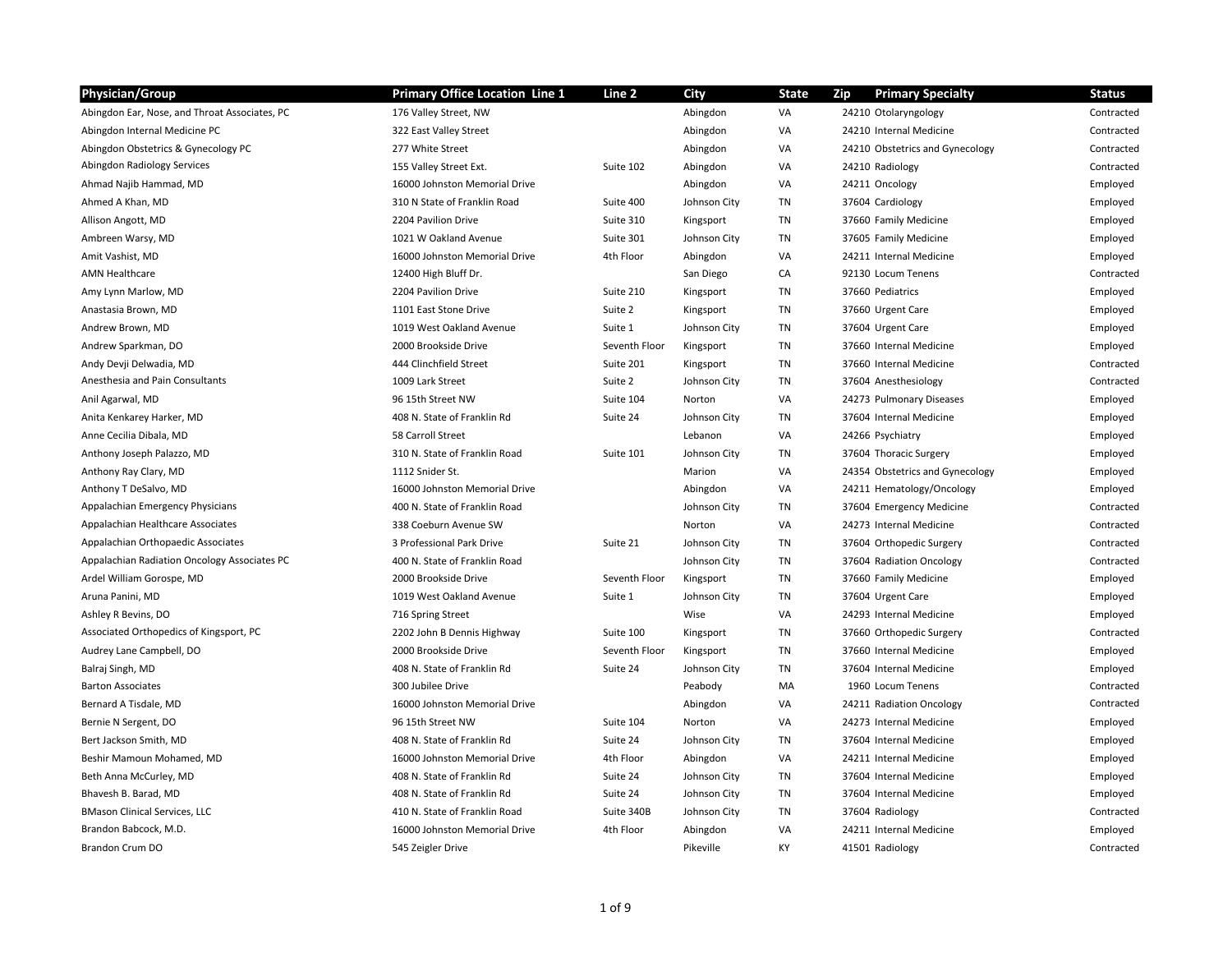| <b>Physician/Group</b>                        | <b>Primary Office Location Line 1</b> | Line 2        | City         | <b>State</b> | Zip | <b>Primary Specialty</b>        | <b>Status</b> |
|-----------------------------------------------|---------------------------------------|---------------|--------------|--------------|-----|---------------------------------|---------------|
| Abingdon Ear, Nose, and Throat Associates, PC | 176 Valley Street, NW                 |               | Abingdon     | VA           |     | 24210 Otolaryngology            | Contracted    |
| Abingdon Internal Medicine PC                 | 322 East Valley Street                |               | Abingdon     | VA           |     | 24210 Internal Medicine         | Contracted    |
| Abingdon Obstetrics & Gynecology PC           | 277 White Street                      |               | Abingdon     | VA           |     | 24210 Obstetrics and Gynecology | Contracted    |
| Abingdon Radiology Services                   | 155 Valley Street Ext.                | Suite 102     | Abingdon     | VA           |     | 24210 Radiology                 | Contracted    |
| Ahmad Najib Hammad, MD                        | 16000 Johnston Memorial Drive         |               | Abingdon     | VA           |     | 24211 Oncology                  | Employed      |
| Ahmed A Khan, MD                              | 310 N State of Franklin Road          | Suite 400     | Johnson City | TN           |     | 37604 Cardiology                | Employed      |
| Allison Angott, MD                            | 2204 Pavilion Drive                   | Suite 310     | Kingsport    | TN           |     | 37660 Family Medicine           | Employed      |
| Ambreen Warsy, MD                             | 1021 W Oakland Avenue                 | Suite 301     | Johnson City | TN           |     | 37605 Family Medicine           | Employed      |
| Amit Vashist, MD                              | 16000 Johnston Memorial Drive         | 4th Floor     | Abingdon     | VA           |     | 24211 Internal Medicine         | Employed      |
| <b>AMN Healthcare</b>                         | 12400 High Bluff Dr.                  |               | San Diego    | CA           |     | 92130 Locum Tenens              | Contracted    |
| Amy Lynn Marlow, MD                           | 2204 Pavilion Drive                   | Suite 210     | Kingsport    | TN           |     | 37660 Pediatrics                | Employed      |
| Anastasia Brown, MD                           | 1101 East Stone Drive                 | Suite 2       | Kingsport    | TN           |     | 37660 Urgent Care               | Employed      |
| Andrew Brown, MD                              | 1019 West Oakland Avenue              | Suite 1       | Johnson City | TN           |     | 37604 Urgent Care               | Employed      |
| Andrew Sparkman, DO                           | 2000 Brookside Drive                  | Seventh Floor | Kingsport    | TN           |     | 37660 Internal Medicine         | Employed      |
| Andy Devji Delwadia, MD                       | 444 Clinchfield Street                | Suite 201     | Kingsport    | TN           |     | 37660 Internal Medicine         | Contracted    |
| Anesthesia and Pain Consultants               | 1009 Lark Street                      | Suite 2       | Johnson City | TN           |     | 37604 Anesthesiology            | Contracted    |
| Anil Agarwal, MD                              | 96 15th Street NW                     | Suite 104     | Norton       | VA           |     | 24273 Pulmonary Diseases        | Employed      |
| Anita Kenkarey Harker, MD                     | 408 N. State of Franklin Rd           | Suite 24      | Johnson City | TN           |     | 37604 Internal Medicine         | Employed      |
| Anne Cecilia Dibala, MD                       | 58 Carroll Street                     |               | Lebanon      | VA           |     | 24266 Psychiatry                | Employed      |
| Anthony Joseph Palazzo, MD                    | 310 N. State of Franklin Road         | Suite 101     | Johnson City | TN           |     | 37604 Thoracic Surgery          | Employed      |
| Anthony Ray Clary, MD                         | 1112 Snider St.                       |               | Marion       | VA           |     | 24354 Obstetrics and Gynecology | Employed      |
| Anthony T DeSalvo, MD                         | 16000 Johnston Memorial Drive         |               | Abingdon     | VA           |     | 24211 Hematology/Oncology       | Employed      |
| Appalachian Emergency Physicians              | 400 N. State of Franklin Road         |               | Johnson City | TN           |     | 37604 Emergency Medicine        | Contracted    |
| Appalachian Healthcare Associates             | 338 Coeburn Avenue SW                 |               | Norton       | VA           |     | 24273 Internal Medicine         | Contracted    |
| Appalachian Orthopaedic Associates            | 3 Professional Park Drive             | Suite 21      | Johnson City | TN           |     | 37604 Orthopedic Surgery        | Contracted    |
| Appalachian Radiation Oncology Associates PC  | 400 N. State of Franklin Road         |               | Johnson City | TN           |     | 37604 Radiation Oncology        | Contracted    |
| Ardel William Gorospe, MD                     | 2000 Brookside Drive                  | Seventh Floor | Kingsport    | TN           |     | 37660 Family Medicine           | Employed      |
| Aruna Panini, MD                              | 1019 West Oakland Avenue              | Suite 1       | Johnson City | TN           |     | 37604 Urgent Care               | Employed      |
| Ashley R Bevins, DO                           | 716 Spring Street                     |               | Wise         | VA           |     | 24293 Internal Medicine         | Employed      |
| Associated Orthopedics of Kingsport, PC       | 2202 John B Dennis Highway            | Suite 100     | Kingsport    | TN           |     | 37660 Orthopedic Surgery        | Contracted    |
| Audrey Lane Campbell, DO                      | 2000 Brookside Drive                  | Seventh Floor | Kingsport    | TN           |     | 37660 Internal Medicine         | Employed      |
| Balraj Singh, MD                              | 408 N. State of Franklin Rd           | Suite 24      | Johnson City | TN           |     | 37604 Internal Medicine         | Employed      |
| <b>Barton Associates</b>                      | 300 Jubilee Drive                     |               | Peabody      | MA           |     | 1960 Locum Tenens               | Contracted    |
| Bernard A Tisdale, MD                         | 16000 Johnston Memorial Drive         |               | Abingdon     | VA           |     | 24211 Radiation Oncology        | Contracted    |
| Bernie N Sergent, DO                          | 96 15th Street NW                     | Suite 104     | Norton       | VA           |     | 24273 Internal Medicine         | Employed      |
| Bert Jackson Smith, MD                        | 408 N. State of Franklin Rd           | Suite 24      | Johnson City | TN           |     | 37604 Internal Medicine         | Employed      |
| Beshir Mamoun Mohamed, MD                     | 16000 Johnston Memorial Drive         | 4th Floor     | Abingdon     | VA           |     | 24211 Internal Medicine         | Employed      |
| Beth Anna McCurley, MD                        | 408 N. State of Franklin Rd           | Suite 24      | Johnson City | TN           |     | 37604 Internal Medicine         | Employed      |
| Bhavesh B. Barad, MD                          | 408 N. State of Franklin Rd           | Suite 24      | Johnson City | TN           |     | 37604 Internal Medicine         | Employed      |
| <b>BMason Clinical Services, LLC</b>          | 410 N. State of Franklin Road         | Suite 340B    | Johnson City | TN           |     | 37604 Radiology                 | Contracted    |
| Brandon Babcock, M.D.                         | 16000 Johnston Memorial Drive         | 4th Floor     | Abingdon     | VA           |     | 24211 Internal Medicine         | Employed      |
| Brandon Crum DO                               | 545 Zeigler Drive                     |               | Pikeville    | <b>KY</b>    |     | 41501 Radiology                 | Contracted    |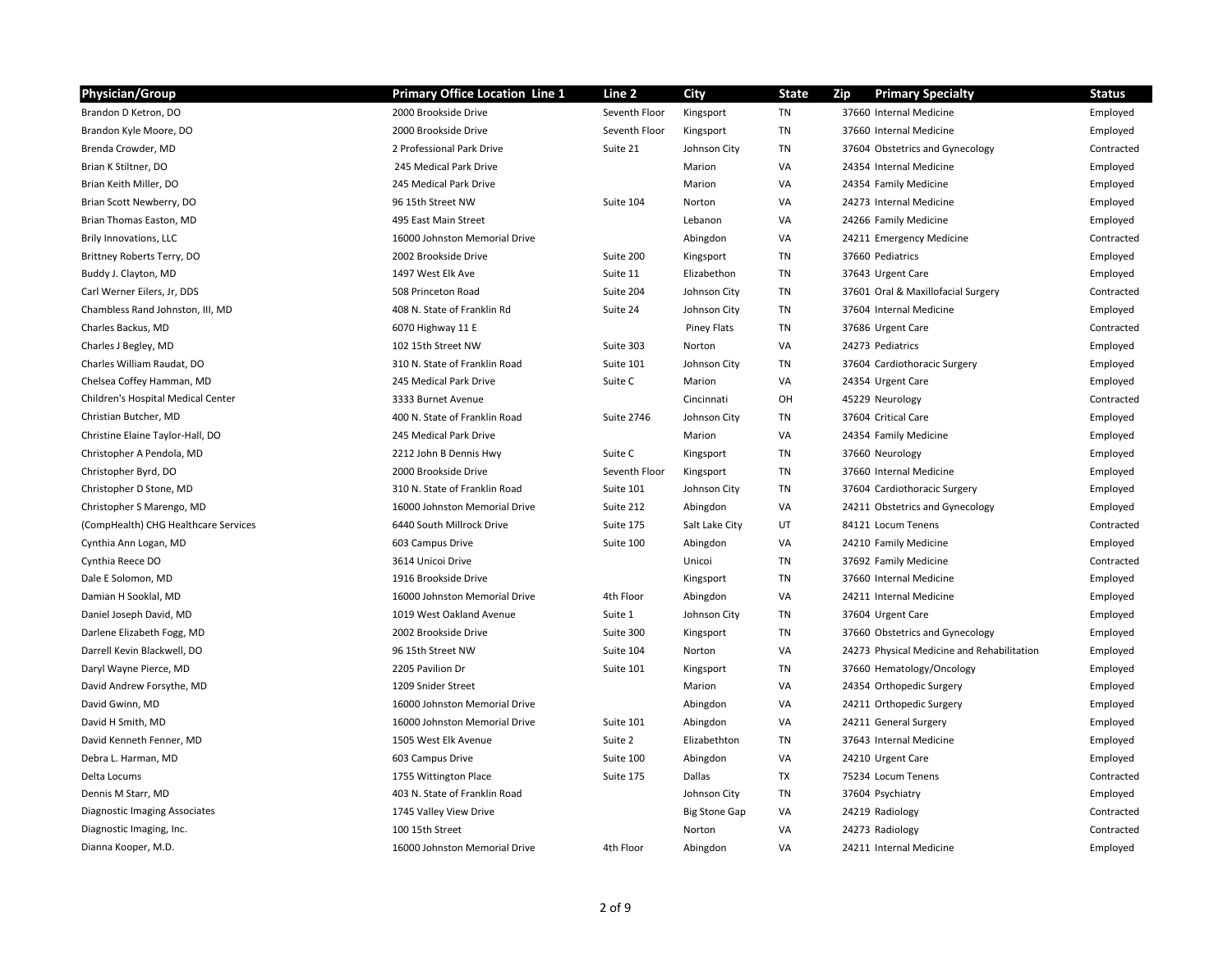| <b>Physician/Group</b>               | <b>Primary Office Location Line 1</b> | Line 2            | City                 | <b>State</b> | <b>Primary Specialty</b><br>Zip            | <b>Status</b> |
|--------------------------------------|---------------------------------------|-------------------|----------------------|--------------|--------------------------------------------|---------------|
| Brandon D Ketron, DO                 | 2000 Brookside Drive                  | Seventh Floor     | Kingsport            | TN           | 37660 Internal Medicine                    | Employed      |
| Brandon Kyle Moore, DO               | 2000 Brookside Drive                  | Seventh Floor     | Kingsport            | TN           | 37660 Internal Medicine                    | Employed      |
| Brenda Crowder, MD                   | 2 Professional Park Drive             | Suite 21          | Johnson City         | TN           | 37604 Obstetrics and Gynecology            | Contracted    |
| Brian K Stiltner, DO                 | 245 Medical Park Drive                |                   | Marion               | VA           | 24354 Internal Medicine                    | Employed      |
| Brian Keith Miller, DO               | 245 Medical Park Drive                |                   | Marion               | VA           | 24354 Family Medicine                      | Employed      |
| Brian Scott Newberry, DO             | 96 15th Street NW                     | Suite 104         | Norton               | VA           | 24273 Internal Medicine                    | Employed      |
| Brian Thomas Easton, MD              | 495 East Main Street                  |                   | Lebanon              | VA           | 24266 Family Medicine                      | Employed      |
| Brily Innovations, LLC               | 16000 Johnston Memorial Drive         |                   | Abingdon             | VA           | 24211 Emergency Medicine                   | Contracted    |
| Brittney Roberts Terry, DO           | 2002 Brookside Drive                  | Suite 200         | Kingsport            | TN           | 37660 Pediatrics                           | Employed      |
| Buddy J. Clayton, MD                 | 1497 West Elk Ave                     | Suite 11          | Elizabethon          | TN           | 37643 Urgent Care                          | Employed      |
| Carl Werner Eilers, Jr, DDS          | 508 Princeton Road                    | Suite 204         | Johnson City         | TN           | 37601 Oral & Maxillofacial Surgery         | Contracted    |
| Chambless Rand Johnston, III, MD     | 408 N. State of Franklin Rd           | Suite 24          | Johnson City         | TN           | 37604 Internal Medicine                    | Employed      |
| Charles Backus, MD                   | 6070 Highway 11 E                     |                   | Piney Flats          | TN           | 37686 Urgent Care                          | Contracted    |
| Charles J Begley, MD                 | 102 15th Street NW                    | Suite 303         | Norton               | VA           | 24273 Pediatrics                           | Employed      |
| Charles William Raudat, DO           | 310 N. State of Franklin Road         | Suite 101         | Johnson City         | TN           | 37604 Cardiothoracic Surgery               | Employed      |
| Chelsea Coffey Hamman, MD            | 245 Medical Park Drive                | Suite C           | Marion               | VA           | 24354 Urgent Care                          | Employed      |
| Children's Hospital Medical Center   | 3333 Burnet Avenue                    |                   | Cincinnati           | OH           | 45229 Neurology                            | Contracted    |
| Christian Butcher, MD                | 400 N. State of Franklin Road         | <b>Suite 2746</b> | Johnson City         | TN           | 37604 Critical Care                        | Employed      |
| Christine Elaine Taylor-Hall, DO     | 245 Medical Park Drive                |                   | Marion               | VA           | 24354 Family Medicine                      | Employed      |
| Christopher A Pendola, MD            | 2212 John B Dennis Hwy                | Suite C           | Kingsport            | TN           | 37660 Neurology                            | Employed      |
| Christopher Byrd, DO                 | 2000 Brookside Drive                  | Seventh Floor     | Kingsport            | TN           | 37660 Internal Medicine                    | Employed      |
| Christopher D Stone, MD              | 310 N. State of Franklin Road         | Suite 101         | Johnson City         | TN           | 37604 Cardiothoracic Surgery               | Employed      |
| Christopher S Marengo, MD            | 16000 Johnston Memorial Drive         | Suite 212         | Abingdon             | VA           | 24211 Obstetrics and Gynecology            | Employed      |
| (CompHealth) CHG Healthcare Services | 6440 South Millrock Drive             | Suite 175         | Salt Lake City       | UT           | 84121 Locum Tenens                         | Contracted    |
| Cynthia Ann Logan, MD                | 603 Campus Drive                      | Suite 100         | Abingdon             | VA           | 24210 Family Medicine                      | Employed      |
| Cynthia Reece DO                     | 3614 Unicoi Drive                     |                   | Unicoi               | TN           | 37692 Family Medicine                      | Contracted    |
| Dale E Solomon, MD                   | 1916 Brookside Drive                  |                   | Kingsport            | TN           | 37660 Internal Medicine                    | Employed      |
| Damian H Sooklal, MD                 | 16000 Johnston Memorial Drive         | 4th Floor         | Abingdon             | VA           | 24211 Internal Medicine                    | Employed      |
| Daniel Joseph David, MD              | 1019 West Oakland Avenue              | Suite 1           | Johnson City         | TN           | 37604 Urgent Care                          | Employed      |
| Darlene Elizabeth Fogg, MD           | 2002 Brookside Drive                  | Suite 300         | Kingsport            | TN           | 37660 Obstetrics and Gynecology            | Employed      |
| Darrell Kevin Blackwell, DO          | 96 15th Street NW                     | Suite 104         | Norton               | VA           | 24273 Physical Medicine and Rehabilitation | Employed      |
| Daryl Wayne Pierce, MD               | 2205 Pavilion Dr                      | Suite 101         | Kingsport            | TN           | 37660 Hematology/Oncology                  | Employed      |
| David Andrew Forsythe, MD            | 1209 Snider Street                    |                   | Marion               | VA           | 24354 Orthopedic Surgery                   | Employed      |
| David Gwinn, MD                      | 16000 Johnston Memorial Drive         |                   | Abingdon             | VA           | 24211 Orthopedic Surgery                   | Employed      |
| David H Smith, MD                    | 16000 Johnston Memorial Drive         | Suite 101         | Abingdon             | VA           | 24211 General Surgery                      | Employed      |
| David Kenneth Fenner, MD             | 1505 West Elk Avenue                  | Suite 2           | Elizabethton         | <b>TN</b>    | 37643 Internal Medicine                    | Employed      |
| Debra L. Harman, MD                  | 603 Campus Drive                      | Suite 100         | Abingdon             | VA           | 24210 Urgent Care                          | Employed      |
| Delta Locums                         | 1755 Wittington Place                 | Suite 175         | Dallas               | TX           | 75234 Locum Tenens                         | Contracted    |
| Dennis M Starr, MD                   | 403 N. State of Franklin Road         |                   | Johnson City         | TN           | 37604 Psychiatry                           | Employed      |
| <b>Diagnostic Imaging Associates</b> | 1745 Valley View Drive                |                   | <b>Big Stone Gap</b> | VA           | 24219 Radiology                            | Contracted    |
| Diagnostic Imaging, Inc.             | 100 15th Street                       |                   | Norton               | VA           | 24273 Radiology                            | Contracted    |
| Dianna Kooper, M.D.                  | 16000 Johnston Memorial Drive         | 4th Floor         | Abingdon             | VA           | 24211 Internal Medicine                    | Employed      |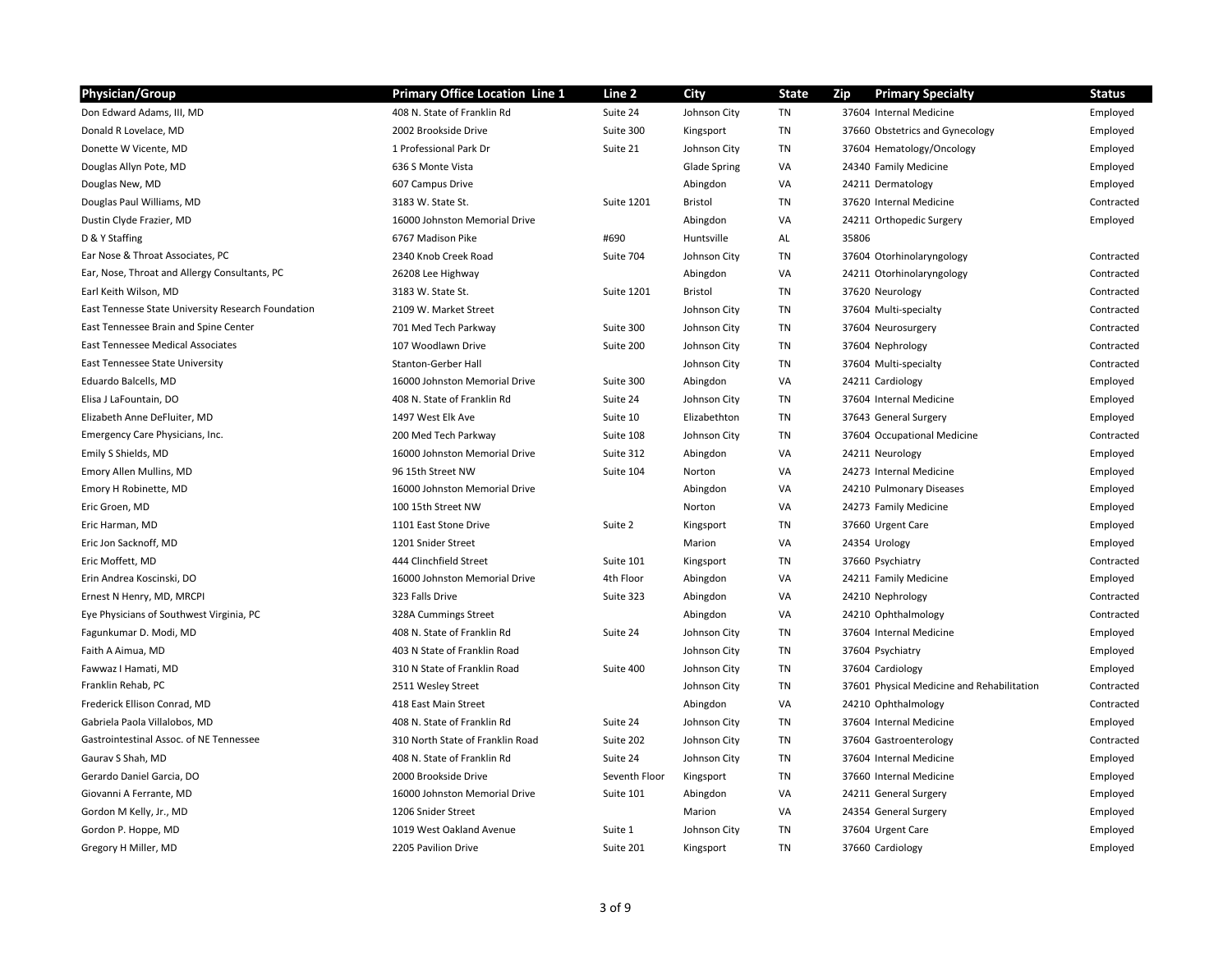| <b>Physician/Group</b>                             | <b>Primary Office Location Line 1</b> | Line 2            | City         | <b>State</b> | Zip<br><b>Primary Specialty</b>            | <b>Status</b> |
|----------------------------------------------------|---------------------------------------|-------------------|--------------|--------------|--------------------------------------------|---------------|
| Don Edward Adams, III, MD                          | 408 N. State of Franklin Rd           | Suite 24          | Johnson City | TN           | 37604 Internal Medicine                    | Employed      |
| Donald R Lovelace, MD                              | 2002 Brookside Drive                  | Suite 300         | Kingsport    | <b>TN</b>    | 37660 Obstetrics and Gynecology            | Employed      |
| Donette W Vicente, MD                              | 1 Professional Park Dr                | Suite 21          | Johnson City | TN           | 37604 Hematology/Oncology                  | Employed      |
| Douglas Allyn Pote, MD                             | 636 S Monte Vista                     |                   | Glade Spring | VA           | 24340 Family Medicine                      | Employed      |
| Douglas New, MD                                    | 607 Campus Drive                      |                   | Abingdon     | VA           | 24211 Dermatology                          | Employed      |
| Douglas Paul Williams, MD                          | 3183 W. State St.                     | <b>Suite 1201</b> | Bristol      | TN           | 37620 Internal Medicine                    | Contracted    |
| Dustin Clyde Frazier, MD                           | 16000 Johnston Memorial Drive         |                   | Abingdon     | VA           | 24211 Orthopedic Surgery                   | Employed      |
| D & Y Staffing                                     | 6767 Madison Pike                     | #690              | Huntsville   | AL           | 35806                                      |               |
| Ear Nose & Throat Associates, PC                   | 2340 Knob Creek Road                  | Suite 704         | Johnson City | TN           | 37604 Otorhinolaryngology                  | Contracted    |
| Ear, Nose, Throat and Allergy Consultants, PC      | 26208 Lee Highway                     |                   | Abingdon     | VA           | 24211 Otorhinolaryngology                  | Contracted    |
| Earl Keith Wilson, MD                              | 3183 W. State St.                     | <b>Suite 1201</b> | Bristol      | TN           | 37620 Neurology                            | Contracted    |
| East Tennesse State University Research Foundation | 2109 W. Market Street                 |                   | Johnson City | TN           | 37604 Multi-specialty                      | Contracted    |
| East Tennessee Brain and Spine Center              | 701 Med Tech Parkway                  | Suite 300         | Johnson City | TN           | 37604 Neurosurgery                         | Contracted    |
| <b>East Tennessee Medical Associates</b>           | 107 Woodlawn Drive                    | Suite 200         | Johnson City | TN           | 37604 Nephrology                           | Contracted    |
| East Tennessee State University                    | Stanton-Gerber Hall                   |                   | Johnson City | TN           | 37604 Multi-specialty                      | Contracted    |
| Eduardo Balcells, MD                               | 16000 Johnston Memorial Drive         | Suite 300         | Abingdon     | VA           | 24211 Cardiology                           | Employed      |
| Elisa J LaFountain, DO                             | 408 N. State of Franklin Rd           | Suite 24          | Johnson City | TN           | 37604 Internal Medicine                    | Employed      |
| Elizabeth Anne DeFluiter, MD                       | 1497 West Elk Ave                     | Suite 10          | Elizabethton | TN           | 37643 General Surgery                      | Employed      |
| Emergency Care Physicians, Inc.                    | 200 Med Tech Parkway                  | Suite 108         | Johnson City | TN           | 37604 Occupational Medicine                | Contracted    |
| Emily S Shields, MD                                | 16000 Johnston Memorial Drive         | Suite 312         | Abingdon     | VA           | 24211 Neurology                            | Employed      |
| Emory Allen Mullins, MD                            | 96 15th Street NW                     | Suite 104         | Norton       | VA           | 24273 Internal Medicine                    | Employed      |
| Emory H Robinette, MD                              | 16000 Johnston Memorial Drive         |                   | Abingdon     | VA           | 24210 Pulmonary Diseases                   | Employed      |
| Eric Groen, MD                                     | 100 15th Street NW                    |                   | Norton       | VA           | 24273 Family Medicine                      | Employed      |
| Eric Harman, MD                                    | 1101 East Stone Drive                 | Suite 2           | Kingsport    | TN           | 37660 Urgent Care                          | Employed      |
| Eric Jon Sacknoff, MD                              | 1201 Snider Street                    |                   | Marion       | VA           | 24354 Urology                              | Employed      |
| Eric Moffett, MD                                   | 444 Clinchfield Street                | Suite 101         | Kingsport    | TN           | 37660 Psychiatry                           | Contracted    |
| Erin Andrea Koscinski, DO                          | 16000 Johnston Memorial Drive         | 4th Floor         | Abingdon     | VA           | 24211 Family Medicine                      | Employed      |
| Ernest N Henry, MD, MRCPI                          | 323 Falls Drive                       | Suite 323         | Abingdon     | VA           | 24210 Nephrology                           | Contracted    |
| Eye Physicians of Southwest Virginia, PC           | 328A Cummings Street                  |                   | Abingdon     | VA           | 24210 Ophthalmology                        | Contracted    |
| Fagunkumar D. Modi, MD                             | 408 N. State of Franklin Rd           | Suite 24          | Johnson City | TN           | 37604 Internal Medicine                    | Employed      |
| Faith A Aimua, MD                                  | 403 N State of Franklin Road          |                   | Johnson City | TN           | 37604 Psychiatry                           | Employed      |
| Fawwaz I Hamati, MD                                | 310 N State of Franklin Road          | Suite 400         | Johnson City | TN           | 37604 Cardiology                           | Employed      |
| Franklin Rehab, PC                                 | 2511 Wesley Street                    |                   | Johnson City | TN           | 37601 Physical Medicine and Rehabilitation | Contracted    |
| Frederick Ellison Conrad, MD                       | 418 East Main Street                  |                   | Abingdon     | VA           | 24210 Ophthalmology                        | Contracted    |
| Gabriela Paola Villalobos, MD                      | 408 N. State of Franklin Rd           | Suite 24          | Johnson City | TN           | 37604 Internal Medicine                    | Employed      |
| Gastrointestinal Assoc. of NE Tennessee            | 310 North State of Franklin Road      | Suite 202         | Johnson City | TN           | 37604 Gastroenterology                     | Contracted    |
| Gaurav S Shah, MD                                  | 408 N. State of Franklin Rd           | Suite 24          | Johnson City | TN           | 37604 Internal Medicine                    | Employed      |
| Gerardo Daniel Garcia, DO                          | 2000 Brookside Drive                  | Seventh Floor     | Kingsport    | TN           | 37660 Internal Medicine                    | Employed      |
| Giovanni A Ferrante, MD                            | 16000 Johnston Memorial Drive         | Suite 101         | Abingdon     | VA           | 24211 General Surgery                      | Employed      |
| Gordon M Kelly, Jr., MD                            | 1206 Snider Street                    |                   | Marion       | VA           | 24354 General Surgery                      | Employed      |
| Gordon P. Hoppe, MD                                | 1019 West Oakland Avenue              | Suite 1           | Johnson City | TN           | 37604 Urgent Care                          | Employed      |
| Gregory H Miller, MD                               | 2205 Pavilion Drive                   | Suite 201         | Kingsport    | TN           | 37660 Cardiology                           | Employed      |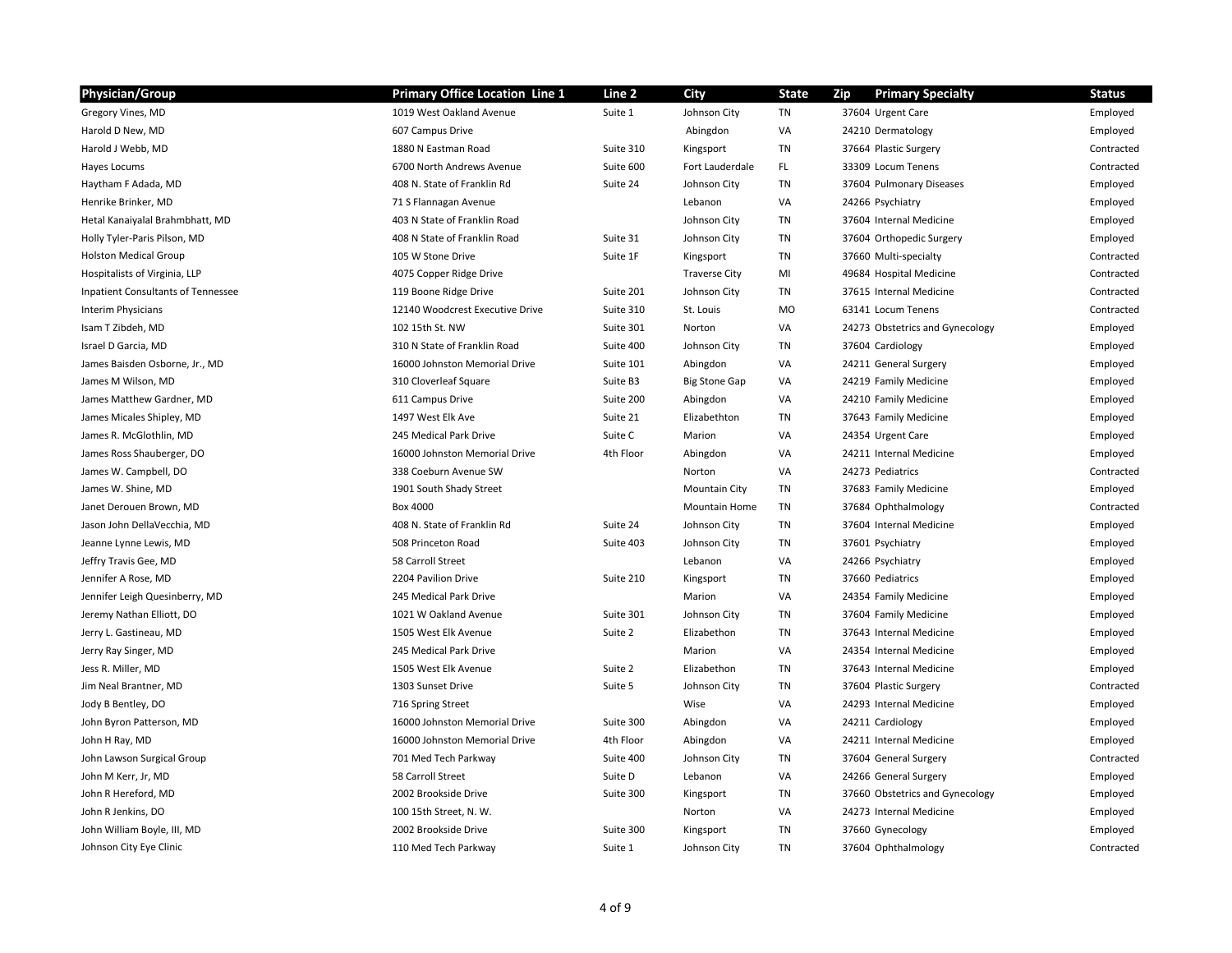| <b>Physician/Group</b>                    | <b>Primary Office Location Line 1</b> | Line 2    | City                 | <b>State</b> | <b>Primary Specialty</b><br>Zip | <b>Status</b> |
|-------------------------------------------|---------------------------------------|-----------|----------------------|--------------|---------------------------------|---------------|
| Gregory Vines, MD                         | 1019 West Oakland Avenue              | Suite 1   | Johnson City         | TN           | 37604 Urgent Care               | Employed      |
| Harold D New, MD                          | 607 Campus Drive                      |           | Abingdon             | VA           | 24210 Dermatology               | Employed      |
| Harold J Webb, MD                         | 1880 N Eastman Road                   | Suite 310 | Kingsport            | TN           | 37664 Plastic Surgery           | Contracted    |
| Hayes Locums                              | 6700 North Andrews Avenue             | Suite 600 | Fort Lauderdale      | FL.          | 33309 Locum Tenens              | Contracted    |
| Haytham F Adada, MD                       | 408 N. State of Franklin Rd           | Suite 24  | Johnson City         | <b>TN</b>    | 37604 Pulmonary Diseases        | Employed      |
| Henrike Brinker, MD                       | 71 S Flannagan Avenue                 |           | Lebanon              | VA           | 24266 Psychiatry                | Employed      |
| Hetal Kanaiyalal Brahmbhatt, MD           | 403 N State of Franklin Road          |           | Johnson City         | TN           | 37604 Internal Medicine         | Employed      |
| Holly Tyler-Paris Pilson, MD              | 408 N State of Franklin Road          | Suite 31  | Johnson City         | TN           | 37604 Orthopedic Surgery        | Employed      |
| <b>Holston Medical Group</b>              | 105 W Stone Drive                     | Suite 1F  | Kingsport            | TN           | 37660 Multi-specialty           | Contracted    |
| Hospitalists of Virginia, LLP             | 4075 Copper Ridge Drive               |           | <b>Traverse City</b> | MI           | 49684 Hospital Medicine         | Contracted    |
| <b>Inpatient Consultants of Tennessee</b> | 119 Boone Ridge Drive                 | Suite 201 | Johnson City         | TN           | 37615 Internal Medicine         | Contracted    |
| Interim Physicians                        | 12140 Woodcrest Executive Drive       | Suite 310 | St. Louis            | <b>MO</b>    | 63141 Locum Tenens              | Contracted    |
| Isam T Zibdeh, MD                         | 102 15th St. NW                       | Suite 301 | Norton               | VA           | 24273 Obstetrics and Gynecology | Employed      |
| Israel D Garcia, MD                       | 310 N State of Franklin Road          | Suite 400 | Johnson City         | TN           | 37604 Cardiology                | Employed      |
| James Baisden Osborne, Jr., MD            | 16000 Johnston Memorial Drive         | Suite 101 | Abingdon             | VA           | 24211 General Surgery           | Employed      |
| James M Wilson, MD                        | 310 Cloverleaf Square                 | Suite B3  | <b>Big Stone Gap</b> | VA           | 24219 Family Medicine           | Employed      |
| James Matthew Gardner, MD                 | 611 Campus Drive                      | Suite 200 | Abingdon             | VA           | 24210 Family Medicine           | Employed      |
| James Micales Shipley, MD                 | 1497 West Elk Ave                     | Suite 21  | Elizabethton         | TN           | 37643 Family Medicine           | Employed      |
| James R. McGlothlin, MD                   | 245 Medical Park Drive                | Suite C   | Marion               | VA           | 24354 Urgent Care               | Employed      |
| James Ross Shauberger, DO                 | 16000 Johnston Memorial Drive         | 4th Floor | Abingdon             | VA           | 24211 Internal Medicine         | Employed      |
| James W. Campbell, DO                     | 338 Coeburn Avenue SW                 |           | Norton               | VA           | 24273 Pediatrics                | Contracted    |
| James W. Shine, MD                        | 1901 South Shady Street               |           | <b>Mountain City</b> | TN           | 37683 Family Medicine           | Employed      |
| Janet Derouen Brown, MD                   | Box 4000                              |           | Mountain Home        | TN           | 37684 Ophthalmology             | Contracted    |
| Jason John DellaVecchia, MD               | 408 N. State of Franklin Rd           | Suite 24  | Johnson City         | TN           | 37604 Internal Medicine         | Employed      |
| Jeanne Lynne Lewis, MD                    | 508 Princeton Road                    | Suite 403 | Johnson City         | TN           | 37601 Psychiatry                | Employed      |
| Jeffry Travis Gee, MD                     | 58 Carroll Street                     |           | Lebanon              | VA           | 24266 Psychiatry                | Employed      |
| Jennifer A Rose, MD                       | 2204 Pavilion Drive                   | Suite 210 | Kingsport            | TN           | 37660 Pediatrics                | Employed      |
| Jennifer Leigh Quesinberry, MD            | 245 Medical Park Drive                |           | Marion               | VA           | 24354 Family Medicine           | Employed      |
| Jeremy Nathan Elliott, DO                 | 1021 W Oakland Avenue                 | Suite 301 | Johnson City         | TN           | 37604 Family Medicine           | Employed      |
| Jerry L. Gastineau, MD                    | 1505 West Elk Avenue                  | Suite 2   | Elizabethon          | TN           | 37643 Internal Medicine         | Employed      |
| Jerry Ray Singer, MD                      | 245 Medical Park Drive                |           | Marion               | VA           | 24354 Internal Medicine         | Employed      |
| Jess R. Miller, MD                        | 1505 West Elk Avenue                  | Suite 2   | Elizabethon          | TN           | 37643 Internal Medicine         | Employed      |
| Jim Neal Brantner, MD                     | 1303 Sunset Drive                     | Suite 5   | Johnson City         | TN           | 37604 Plastic Surgery           | Contracted    |
| Jody B Bentley, DO                        | 716 Spring Street                     |           | Wise                 | VA           | 24293 Internal Medicine         | Employed      |
| John Byron Patterson, MD                  | 16000 Johnston Memorial Drive         | Suite 300 | Abingdon             | VA           | 24211 Cardiology                | Employed      |
| John H Ray, MD                            | 16000 Johnston Memorial Drive         | 4th Floor | Abingdon             | VA           | 24211 Internal Medicine         | Employed      |
| John Lawson Surgical Group                | 701 Med Tech Parkway                  | Suite 400 | Johnson City         | TN           | 37604 General Surgery           | Contracted    |
| John M Kerr, Jr, MD                       | 58 Carroll Street                     | Suite D   | Lebanon              | VA           | 24266 General Surgery           | Employed      |
| John R Hereford, MD                       | 2002 Brookside Drive                  | Suite 300 | Kingsport            | TN           | 37660 Obstetrics and Gynecology | Employed      |
| John R Jenkins, DO                        | 100 15th Street, N. W.                |           | Norton               | VA           | 24273 Internal Medicine         | Employed      |
| John William Boyle, III, MD               | 2002 Brookside Drive                  | Suite 300 | Kingsport            | TN           | 37660 Gynecology                | Employed      |
| Johnson City Eye Clinic                   | 110 Med Tech Parkway                  | Suite 1   | Johnson City         | <b>TN</b>    | 37604 Ophthalmology             | Contracted    |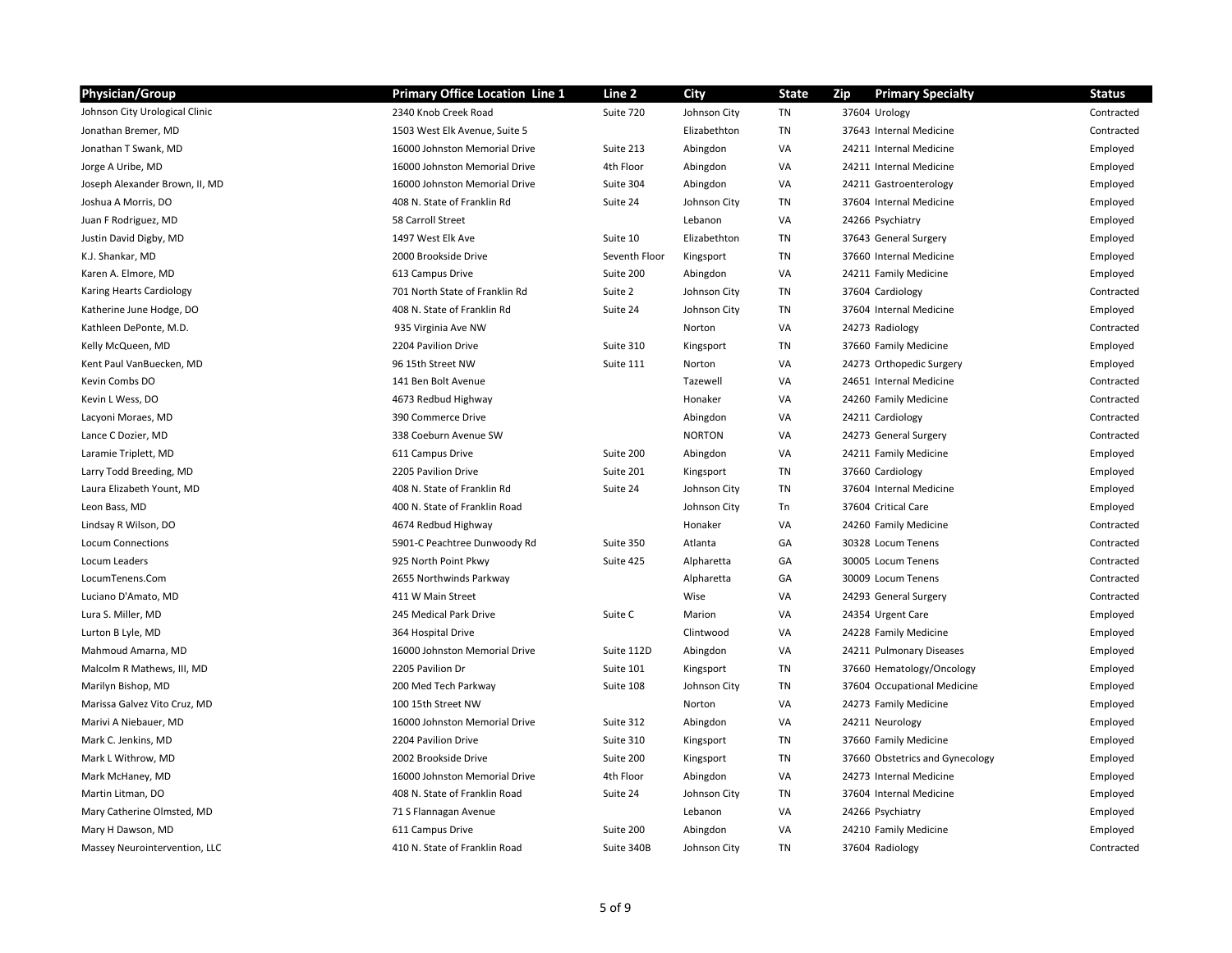| <b>Physician/Group</b>         | <b>Primary Office Location Line 1</b> | Line 2        | City          | <b>State</b> | Zip | <b>Primary Specialty</b>        | <b>Status</b> |
|--------------------------------|---------------------------------------|---------------|---------------|--------------|-----|---------------------------------|---------------|
| Johnson City Urological Clinic | 2340 Knob Creek Road                  | Suite 720     | Johnson City  | TN           |     | 37604 Urology                   | Contracted    |
| Jonathan Bremer, MD            | 1503 West Elk Avenue, Suite 5         |               | Elizabethton  | TN           |     | 37643 Internal Medicine         | Contracted    |
| Jonathan T Swank, MD           | 16000 Johnston Memorial Drive         | Suite 213     | Abingdon      | VA           |     | 24211 Internal Medicine         | Employed      |
| Jorge A Uribe, MD              | 16000 Johnston Memorial Drive         | 4th Floor     | Abingdon      | VA           |     | 24211 Internal Medicine         | Employed      |
| Joseph Alexander Brown, II, MD | 16000 Johnston Memorial Drive         | Suite 304     | Abingdon      | VA           |     | 24211 Gastroenterology          | Employed      |
| Joshua A Morris, DO            | 408 N. State of Franklin Rd           | Suite 24      | Johnson City  | TN           |     | 37604 Internal Medicine         | Employed      |
| Juan F Rodriguez, MD           | 58 Carroll Street                     |               | Lebanon       | VA           |     | 24266 Psychiatry                | Employed      |
| Justin David Digby, MD         | 1497 West Elk Ave                     | Suite 10      | Elizabethton  | TN           |     | 37643 General Surgery           | Employed      |
| K.J. Shankar, MD               | 2000 Brookside Drive                  | Seventh Floor | Kingsport     | TN           |     | 37660 Internal Medicine         | Employed      |
| Karen A. Elmore, MD            | 613 Campus Drive                      | Suite 200     | Abingdon      | VA           |     | 24211 Family Medicine           | Employed      |
| Karing Hearts Cardiology       | 701 North State of Franklin Rd        | Suite 2       | Johnson City  | TN           |     | 37604 Cardiology                | Contracted    |
| Katherine June Hodge, DO       | 408 N. State of Franklin Rd           | Suite 24      | Johnson City  | TN           |     | 37604 Internal Medicine         | Employed      |
| Kathleen DePonte, M.D.         | 935 Virginia Ave NW                   |               | Norton        | VA           |     | 24273 Radiology                 | Contracted    |
| Kelly McQueen, MD              | 2204 Pavilion Drive                   | Suite 310     | Kingsport     | TN           |     | 37660 Family Medicine           | Employed      |
| Kent Paul VanBuecken, MD       | 96 15th Street NW                     | Suite 111     | Norton        | VA           |     | 24273 Orthopedic Surgery        | Employed      |
| Kevin Combs DO                 | 141 Ben Bolt Avenue                   |               | Tazewell      | VA           |     | 24651 Internal Medicine         | Contracted    |
| Kevin L Wess, DO               | 4673 Redbud Highway                   |               | Honaker       | VA           |     | 24260 Family Medicine           | Contracted    |
| Lacyoni Moraes, MD             | 390 Commerce Drive                    |               | Abingdon      | VA           |     | 24211 Cardiology                | Contracted    |
| Lance C Dozier, MD             | 338 Coeburn Avenue SW                 |               | <b>NORTON</b> | VA           |     | 24273 General Surgery           | Contracted    |
| Laramie Triplett, MD           | 611 Campus Drive                      | Suite 200     | Abingdon      | VA           |     | 24211 Family Medicine           | Employed      |
| Larry Todd Breeding, MD        | 2205 Pavilion Drive                   | Suite 201     | Kingsport     | TN           |     | 37660 Cardiology                | Employed      |
| Laura Elizabeth Yount, MD      | 408 N. State of Franklin Rd           | Suite 24      | Johnson City  | TN           |     | 37604 Internal Medicine         | Employed      |
| Leon Bass, MD                  | 400 N. State of Franklin Road         |               | Johnson City  | Tn           |     | 37604 Critical Care             | Employed      |
| Lindsay R Wilson, DO           | 4674 Redbud Highway                   |               | Honaker       | VA           |     | 24260 Family Medicine           | Contracted    |
| <b>Locum Connections</b>       | 5901-C Peachtree Dunwoody Rd          | Suite 350     | Atlanta       | GA           |     | 30328 Locum Tenens              | Contracted    |
| Locum Leaders                  | 925 North Point Pkwy                  | Suite 425     | Alpharetta    | GA           |     | 30005 Locum Tenens              | Contracted    |
| LocumTenens.Com                | 2655 Northwinds Parkway               |               | Alpharetta    | GA           |     | 30009 Locum Tenens              | Contracted    |
| Luciano D'Amato, MD            | 411 W Main Street                     |               | Wise          | VA           |     | 24293 General Surgery           | Contracted    |
| Lura S. Miller, MD             | 245 Medical Park Drive                | Suite C       | Marion        | VA           |     | 24354 Urgent Care               | Employed      |
| Lurton B Lyle, MD              | 364 Hospital Drive                    |               | Clintwood     | VA           |     | 24228 Family Medicine           | Employed      |
| Mahmoud Amarna, MD             | 16000 Johnston Memorial Drive         | Suite 112D    | Abingdon      | VA           |     | 24211 Pulmonary Diseases        | Employed      |
| Malcolm R Mathews, III, MD     | 2205 Pavilion Dr                      | Suite 101     | Kingsport     | TN           |     | 37660 Hematology/Oncology       | Employed      |
| Marilyn Bishop, MD             | 200 Med Tech Parkway                  | Suite 108     | Johnson City  | TN           |     | 37604 Occupational Medicine     | Employed      |
| Marissa Galvez Vito Cruz, MD   | 100 15th Street NW                    |               | Norton        | VA           |     | 24273 Family Medicine           | Employed      |
| Marivi A Niebauer, MD          | 16000 Johnston Memorial Drive         | Suite 312     | Abingdon      | VA           |     | 24211 Neurology                 | Employed      |
| Mark C. Jenkins, MD            | 2204 Pavilion Drive                   | Suite 310     | Kingsport     | TN           |     | 37660 Family Medicine           | Employed      |
| Mark L Withrow, MD             | 2002 Brookside Drive                  | Suite 200     | Kingsport     | TN           |     | 37660 Obstetrics and Gynecology | Employed      |
| Mark McHaney, MD               | 16000 Johnston Memorial Drive         | 4th Floor     | Abingdon      | VA           |     | 24273 Internal Medicine         | Employed      |
| Martin Litman, DO              | 408 N. State of Franklin Road         | Suite 24      | Johnson City  | TN           |     | 37604 Internal Medicine         | Employed      |
| Mary Catherine Olmsted, MD     | 71 S Flannagan Avenue                 |               | Lebanon       | VA           |     | 24266 Psychiatry                | Employed      |
| Mary H Dawson, MD              | 611 Campus Drive                      | Suite 200     | Abingdon      | VA           |     | 24210 Family Medicine           | Employed      |
| Massey Neurointervention, LLC  | 410 N. State of Franklin Road         | Suite 340B    | Johnson City  | TN           |     | 37604 Radiology                 | Contracted    |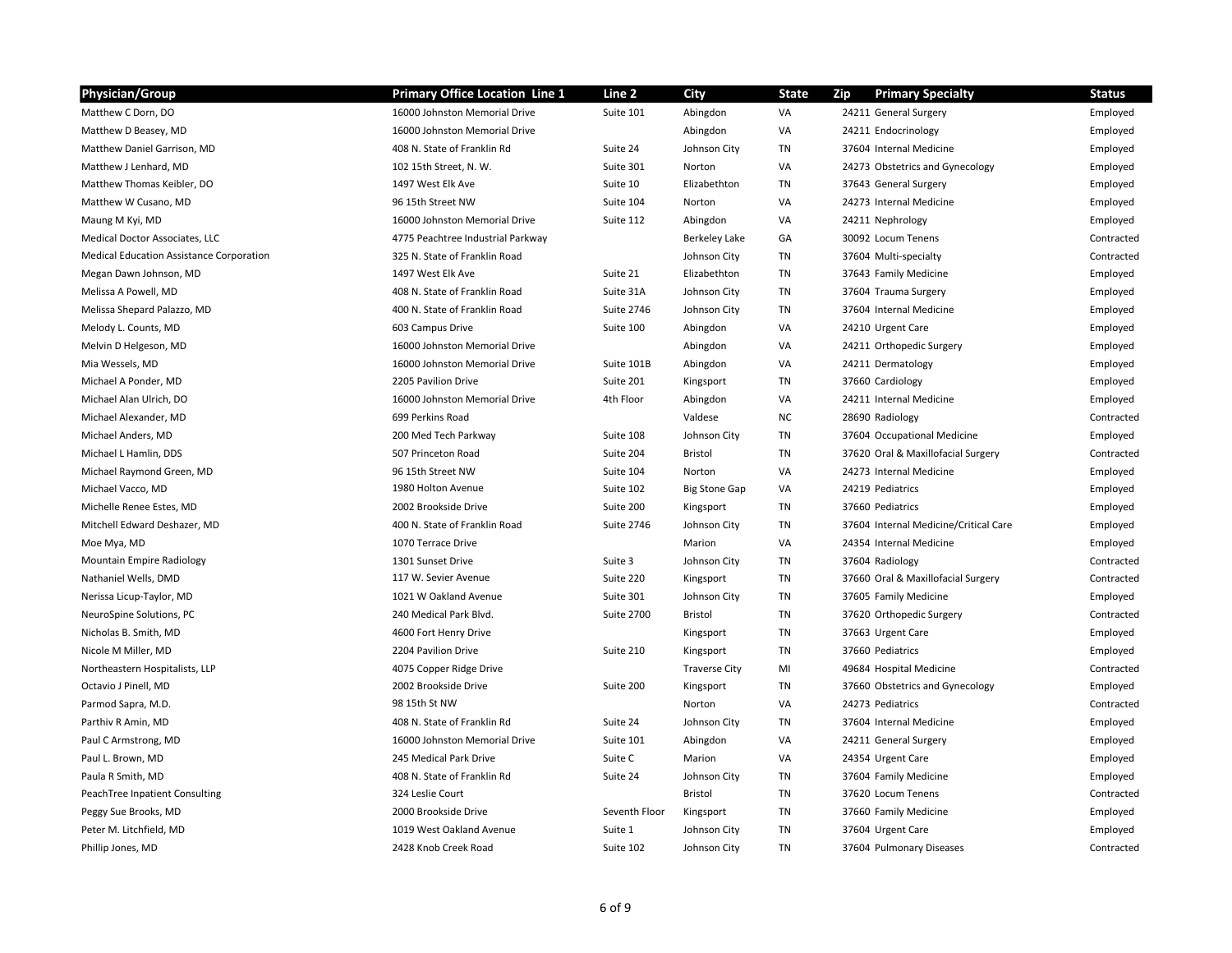| <b>Physician/Group</b>                   | <b>Primary Office Location Line 1</b> | Line 2            | City                 | <b>State</b> | <b>Primary Specialty</b><br>Zip       | <b>Status</b> |
|------------------------------------------|---------------------------------------|-------------------|----------------------|--------------|---------------------------------------|---------------|
| Matthew C Dorn, DO                       | 16000 Johnston Memorial Drive         | Suite 101         | Abingdon             | VA           | 24211 General Surgery                 | Employed      |
| Matthew D Beasey, MD                     | 16000 Johnston Memorial Drive         |                   | Abingdon             | VA           | 24211 Endocrinology                   | Employed      |
| Matthew Daniel Garrison, MD              | 408 N. State of Franklin Rd           | Suite 24          | Johnson City         | TN           | 37604 Internal Medicine               | Employed      |
| Matthew J Lenhard, MD                    | 102 15th Street, N. W.                | Suite 301         | Norton               | VA           | 24273 Obstetrics and Gynecology       | Employed      |
| Matthew Thomas Keibler, DO               | 1497 West Elk Ave                     | Suite 10          | Elizabethton         | TN           | 37643 General Surgery                 | Employed      |
| Matthew W Cusano, MD                     | 96 15th Street NW                     | Suite 104         | Norton               | VA           | 24273 Internal Medicine               | Employed      |
| Maung M Kyi, MD                          | 16000 Johnston Memorial Drive         | Suite 112         | Abingdon             | VA           | 24211 Nephrology                      | Employed      |
| Medical Doctor Associates, LLC           | 4775 Peachtree Industrial Parkway     |                   | Berkeley Lake        | GA           | 30092 Locum Tenens                    | Contracted    |
| Medical Education Assistance Corporation | 325 N. State of Franklin Road         |                   | Johnson City         | TN           | 37604 Multi-specialty                 | Contracted    |
| Megan Dawn Johnson, MD                   | 1497 West Elk Ave                     | Suite 21          | Elizabethton         | TN           | 37643 Family Medicine                 | Employed      |
| Melissa A Powell, MD                     | 408 N. State of Franklin Road         | Suite 31A         | Johnson City         | TN           | 37604 Trauma Surgery                  | Employed      |
| Melissa Shepard Palazzo, MD              | 400 N. State of Franklin Road         | <b>Suite 2746</b> | Johnson City         | TN           | 37604 Internal Medicine               | Employed      |
| Melody L. Counts, MD                     | 603 Campus Drive                      | Suite 100         | Abingdon             | VA           | 24210 Urgent Care                     | Employed      |
| Melvin D Helgeson, MD                    | 16000 Johnston Memorial Drive         |                   | Abingdon             | VA           | 24211 Orthopedic Surgery              | Employed      |
| Mia Wessels, MD                          | 16000 Johnston Memorial Drive         | Suite 101B        | Abingdon             | VA           | 24211 Dermatology                     | Employed      |
| Michael A Ponder, MD                     | 2205 Pavilion Drive                   | Suite 201         | Kingsport            | TN           | 37660 Cardiology                      | Employed      |
| Michael Alan Ulrich, DO                  | 16000 Johnston Memorial Drive         | 4th Floor         | Abingdon             | VA           | 24211 Internal Medicine               | Employed      |
| Michael Alexander, MD                    | 699 Perkins Road                      |                   | Valdese              | NC.          | 28690 Radiology                       | Contracted    |
| Michael Anders, MD                       | 200 Med Tech Parkway                  | Suite 108         | Johnson City         | TN           | 37604 Occupational Medicine           | Employed      |
| Michael L Hamlin, DDS                    | 507 Princeton Road                    | Suite 204         | Bristol              | TN           | 37620 Oral & Maxillofacial Surgery    | Contracted    |
| Michael Raymond Green, MD                | 96 15th Street NW                     | Suite 104         | Norton               | VA           | 24273 Internal Medicine               | Employed      |
| Michael Vacco, MD                        | 1980 Holton Avenue                    | Suite 102         | <b>Big Stone Gap</b> | VA           | 24219 Pediatrics                      | Employed      |
| Michelle Renee Estes, MD                 | 2002 Brookside Drive                  | Suite 200         | Kingsport            | <b>TN</b>    | 37660 Pediatrics                      | Employed      |
| Mitchell Edward Deshazer, MD             | 400 N. State of Franklin Road         | <b>Suite 2746</b> | Johnson City         | TN           | 37604 Internal Medicine/Critical Care | Employed      |
| Moe Mya, MD                              | 1070 Terrace Drive                    |                   | Marion               | VA           | 24354 Internal Medicine               | Employed      |
| Mountain Empire Radiology                | 1301 Sunset Drive                     | Suite 3           | Johnson City         | TN           | 37604 Radiology                       | Contracted    |
| Nathaniel Wells, DMD                     | 117 W. Sevier Avenue                  | Suite 220         | Kingsport            | TN           | 37660 Oral & Maxillofacial Surgery    | Contracted    |
| Nerissa Licup-Taylor, MD                 | 1021 W Oakland Avenue                 | Suite 301         | Johnson City         | TN           | 37605 Family Medicine                 | Employed      |
| NeuroSpine Solutions, PC                 | 240 Medical Park Blvd.                | <b>Suite 2700</b> | Bristol              | TN           | 37620 Orthopedic Surgery              | Contracted    |
| Nicholas B. Smith, MD                    | 4600 Fort Henry Drive                 |                   | Kingsport            | TN           | 37663 Urgent Care                     | Employed      |
| Nicole M Miller, MD                      | 2204 Pavilion Drive                   | Suite 210         | Kingsport            | TN           | 37660 Pediatrics                      | Employed      |
| Northeastern Hospitalists, LLP           | 4075 Copper Ridge Drive               |                   | <b>Traverse City</b> | MI           | 49684 Hospital Medicine               | Contracted    |
| Octavio J Pinell, MD                     | 2002 Brookside Drive                  | Suite 200         | Kingsport            | TN           | 37660 Obstetrics and Gynecology       | Employed      |
| Parmod Sapra, M.D.                       | 98 15th St NW                         |                   | Norton               | VA           | 24273 Pediatrics                      | Contracted    |
| Parthiv R Amin, MD                       | 408 N. State of Franklin Rd           | Suite 24          | Johnson City         | TN           | 37604 Internal Medicine               | Employed      |
| Paul C Armstrong, MD                     | 16000 Johnston Memorial Drive         | Suite 101         | Abingdon             | VA           | 24211 General Surgery                 | Employed      |
| Paul L. Brown, MD                        | 245 Medical Park Drive                | Suite C           | Marion               | VA           | 24354 Urgent Care                     | Employed      |
| Paula R Smith, MD                        | 408 N. State of Franklin Rd           | Suite 24          | Johnson City         | TN           | 37604 Family Medicine                 | Employed      |
| PeachTree Inpatient Consulting           | 324 Leslie Court                      |                   | Bristol              | TN           | 37620 Locum Tenens                    | Contracted    |
| Peggy Sue Brooks, MD                     | 2000 Brookside Drive                  | Seventh Floor     | Kingsport            | TN           | 37660 Family Medicine                 | Employed      |
| Peter M. Litchfield, MD                  | 1019 West Oakland Avenue              | Suite 1           | Johnson City         | TN           | 37604 Urgent Care                     | Employed      |
| Phillip Jones, MD                        | 2428 Knob Creek Road                  | Suite 102         | Johnson City         | <b>TN</b>    | 37604 Pulmonary Diseases              | Contracted    |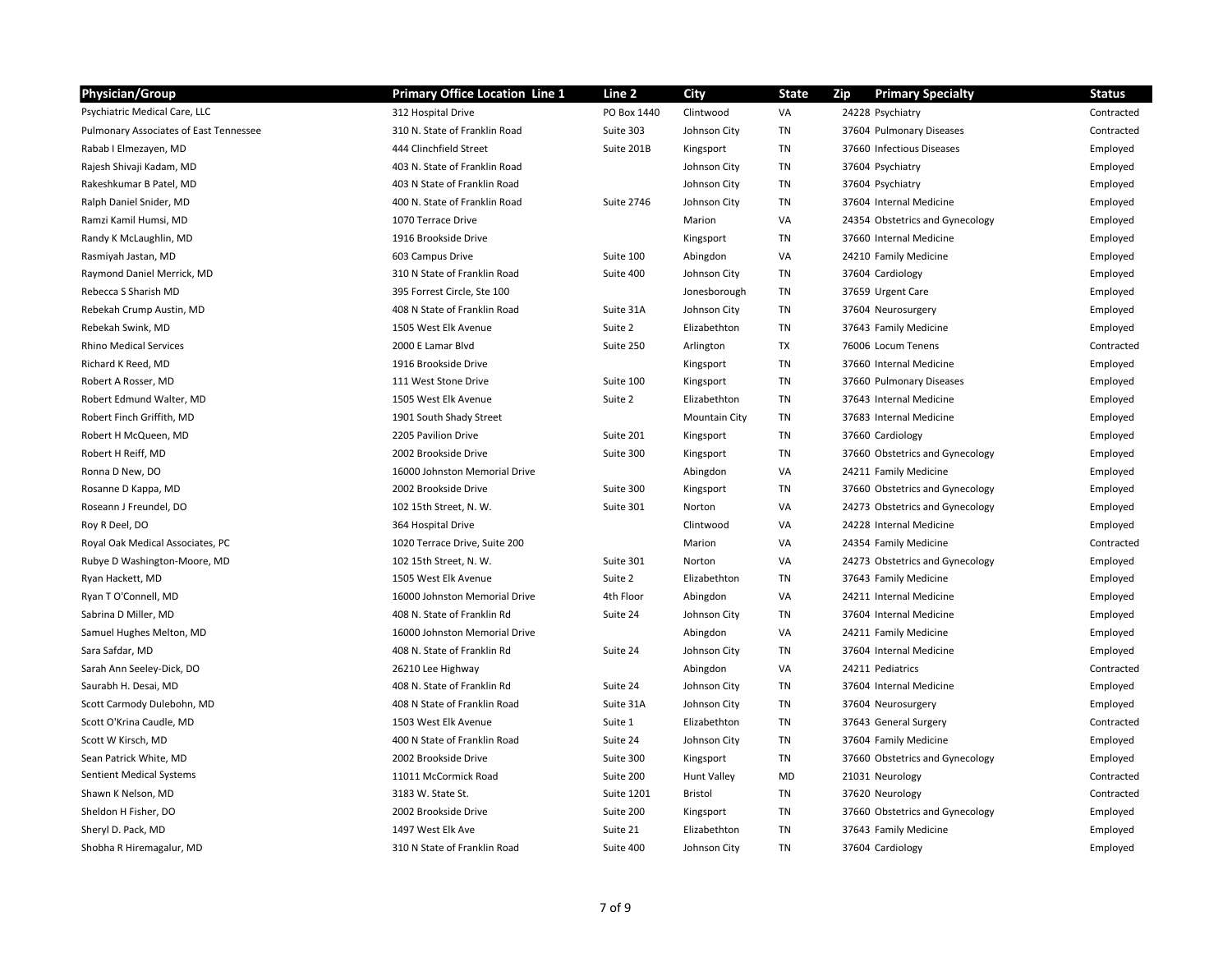| <b>Physician/Group</b>                 | <b>Primary Office Location Line 1</b> | Line 2            | City               | <b>State</b> | <b>Primary Specialty</b><br>Zip | <b>Status</b> |
|----------------------------------------|---------------------------------------|-------------------|--------------------|--------------|---------------------------------|---------------|
| Psychiatric Medical Care, LLC          | 312 Hospital Drive                    | PO Box 1440       | Clintwood          | VA           | 24228 Psychiatry                | Contracted    |
| Pulmonary Associates of East Tennessee | 310 N. State of Franklin Road         | Suite 303         | Johnson City       | TN           | 37604 Pulmonary Diseases        | Contracted    |
| Rabab I Elmezayen, MD                  | 444 Clinchfield Street                | Suite 201B        | Kingsport          | <b>TN</b>    | 37660 Infectious Diseases       | Employed      |
| Rajesh Shivaji Kadam, MD               | 403 N. State of Franklin Road         |                   | Johnson City       | TN           | 37604 Psychiatry                | Employed      |
| Rakeshkumar B Patel, MD                | 403 N State of Franklin Road          |                   | Johnson City       | <b>TN</b>    | 37604 Psychiatry                | Employed      |
| Ralph Daniel Snider, MD                | 400 N. State of Franklin Road         | <b>Suite 2746</b> | Johnson City       | TN           | 37604 Internal Medicine         | Employed      |
| Ramzi Kamil Humsi, MD                  | 1070 Terrace Drive                    |                   | Marion             | VA           | 24354 Obstetrics and Gynecology | Employed      |
| Randy K McLaughlin, MD                 | 1916 Brookside Drive                  |                   | Kingsport          | TN           | 37660 Internal Medicine         | Employed      |
| Rasmiyah Jastan, MD                    | 603 Campus Drive                      | Suite 100         | Abingdon           | VA           | 24210 Family Medicine           | Employed      |
| Raymond Daniel Merrick, MD             | 310 N State of Franklin Road          | Suite 400         | Johnson City       | TN           | 37604 Cardiology                | Employed      |
| Rebecca S Sharish MD                   | 395 Forrest Circle, Ste 100           |                   | Jonesborough       | TN           | 37659 Urgent Care               | Employed      |
| Rebekah Crump Austin, MD               | 408 N State of Franklin Road          | Suite 31A         | Johnson City       | <b>TN</b>    | 37604 Neurosurgery              | Employed      |
| Rebekah Swink, MD                      | 1505 West Elk Avenue                  | Suite 2           | Elizabethton       | <b>TN</b>    | 37643 Family Medicine           | Employed      |
| <b>Rhino Medical Services</b>          | 2000 E Lamar Blvd                     | Suite 250         | Arlington          | <b>TX</b>    | 76006 Locum Tenens              | Contracted    |
| Richard K Reed, MD                     | 1916 Brookside Drive                  |                   | Kingsport          | TN           | 37660 Internal Medicine         | Employed      |
| Robert A Rosser, MD                    | 111 West Stone Drive                  | Suite 100         | Kingsport          | TN           | 37660 Pulmonary Diseases        | Employed      |
| Robert Edmund Walter, MD               | 1505 West Elk Avenue                  | Suite 2           | Elizabethton       | TN           | 37643 Internal Medicine         | Employed      |
| Robert Finch Griffith, MD              | 1901 South Shady Street               |                   | Mountain City      | TN           | 37683 Internal Medicine         | Employed      |
| Robert H McQueen, MD                   | 2205 Pavilion Drive                   | Suite 201         | Kingsport          | <b>TN</b>    | 37660 Cardiology                | Employed      |
| Robert H Reiff, MD                     | 2002 Brookside Drive                  | Suite 300         | Kingsport          | TN           | 37660 Obstetrics and Gynecology | Employed      |
| Ronna D New, DO                        | 16000 Johnston Memorial Drive         |                   | Abingdon           | VA           | 24211 Family Medicine           | Employed      |
| Rosanne D Kappa, MD                    | 2002 Brookside Drive                  | Suite 300         | Kingsport          | TN           | 37660 Obstetrics and Gynecology | Employed      |
| Roseann J Freundel, DO                 | 102 15th Street, N. W.                | Suite 301         | Norton             | VA           | 24273 Obstetrics and Gynecology | Employed      |
| Roy R Deel, DO                         | 364 Hospital Drive                    |                   | Clintwood          | VA           | 24228 Internal Medicine         | Employed      |
| Royal Oak Medical Associates, PC       | 1020 Terrace Drive, Suite 200         |                   | Marion             | VA           | 24354 Family Medicine           | Contracted    |
| Rubye D Washington-Moore, MD           | 102 15th Street, N. W.                | Suite 301         | Norton             | VA           | 24273 Obstetrics and Gynecology | Employed      |
| Ryan Hackett, MD                       | 1505 West Elk Avenue                  | Suite 2           | Elizabethton       | TN           | 37643 Family Medicine           | Employed      |
| Ryan T O'Connell, MD                   | 16000 Johnston Memorial Drive         | 4th Floor         | Abingdon           | VA           | 24211 Internal Medicine         | Employed      |
| Sabrina D Miller, MD                   | 408 N. State of Franklin Rd           | Suite 24          | Johnson City       | TN           | 37604 Internal Medicine         | Employed      |
| Samuel Hughes Melton, MD               | 16000 Johnston Memorial Drive         |                   | Abingdon           | VA           | 24211 Family Medicine           | Employed      |
| Sara Safdar, MD                        | 408 N. State of Franklin Rd           | Suite 24          | Johnson City       | TN           | 37604 Internal Medicine         | Employed      |
| Sarah Ann Seeley-Dick, DO              | 26210 Lee Highway                     |                   | Abingdon           | VA           | 24211 Pediatrics                | Contracted    |
| Saurabh H. Desai, MD                   | 408 N. State of Franklin Rd           | Suite 24          | Johnson City       | TN           | 37604 Internal Medicine         | Employed      |
| Scott Carmody Dulebohn, MD             | 408 N State of Franklin Road          | Suite 31A         | Johnson City       | TN           | 37604 Neurosurgery              | Employed      |
| Scott O'Krina Caudle, MD               | 1503 West Elk Avenue                  | Suite 1           | Elizabethton       | <b>TN</b>    | 37643 General Surgery           | Contracted    |
| Scott W Kirsch, MD                     | 400 N State of Franklin Road          | Suite 24          | Johnson City       | TN           | 37604 Family Medicine           | Employed      |
| Sean Patrick White, MD                 | 2002 Brookside Drive                  | Suite 300         | Kingsport          | TN           | 37660 Obstetrics and Gynecology | Employed      |
| <b>Sentient Medical Systems</b>        | 11011 McCormick Road                  | Suite 200         | <b>Hunt Valley</b> | <b>MD</b>    | 21031 Neurology                 | Contracted    |
| Shawn K Nelson, MD                     | 3183 W. State St.                     | <b>Suite 1201</b> | <b>Bristol</b>     | TN           | 37620 Neurology                 | Contracted    |
| Sheldon H Fisher, DO                   | 2002 Brookside Drive                  | Suite 200         | Kingsport          | TN           | 37660 Obstetrics and Gynecology | Employed      |
| Sheryl D. Pack, MD                     | 1497 West Elk Ave                     | Suite 21          | Elizabethton       | TN           | 37643 Family Medicine           | Employed      |
| Shobha R Hiremagalur, MD               | 310 N State of Franklin Road          | Suite 400         | Johnson City       | TN           | 37604 Cardiology                | Employed      |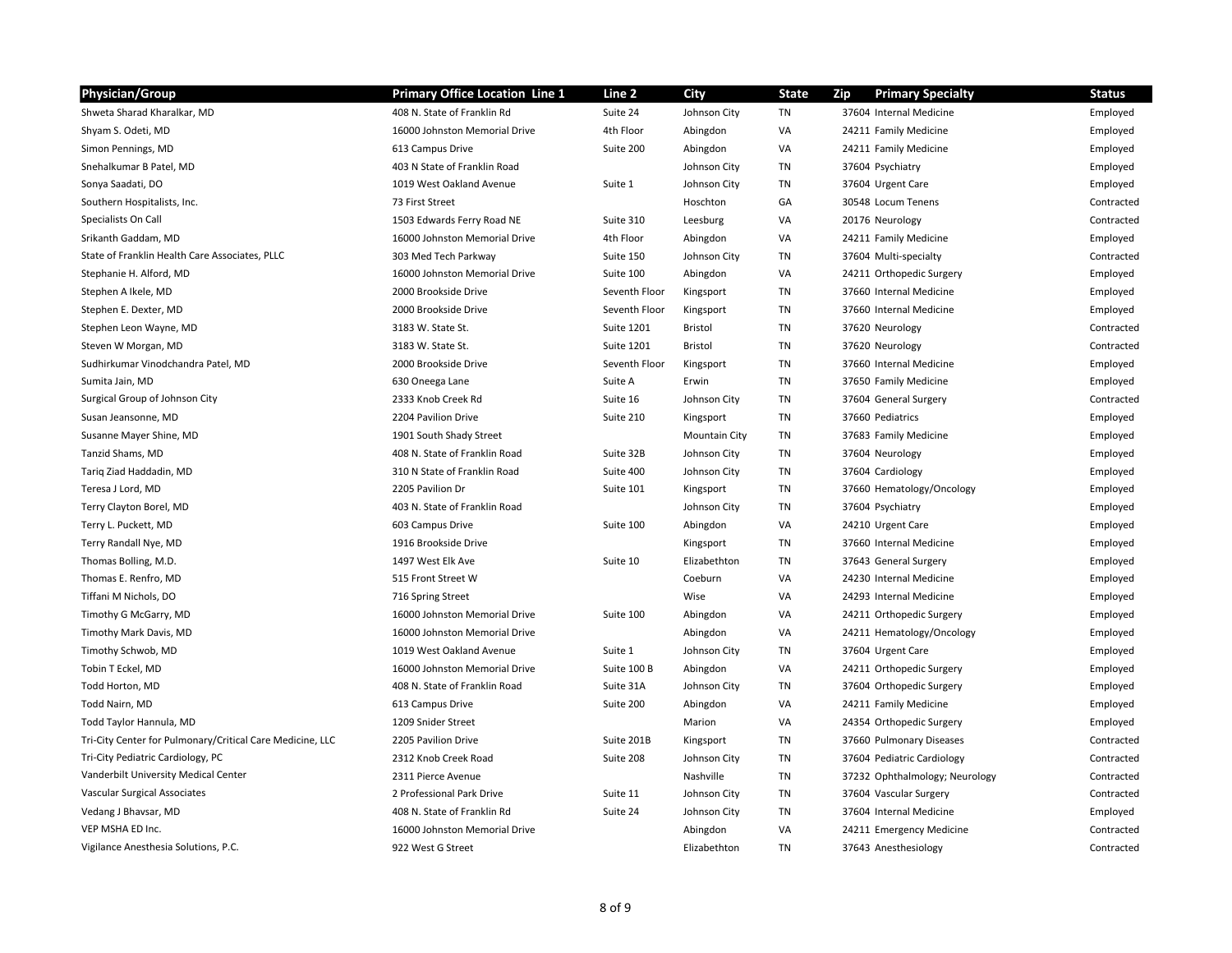| <b>Physician/Group</b>                                    | <b>Primary Office Location Line 1</b> | Line 2            | City                 | <b>State</b> | <b>Primary Specialty</b><br>Zip | <b>Status</b> |
|-----------------------------------------------------------|---------------------------------------|-------------------|----------------------|--------------|---------------------------------|---------------|
| Shweta Sharad Kharalkar, MD                               | 408 N. State of Franklin Rd           | Suite 24          | Johnson City         | TN           | 37604 Internal Medicine         | Employed      |
| Shyam S. Odeti, MD                                        | 16000 Johnston Memorial Drive         | 4th Floor         | Abingdon             | VA           | 24211 Family Medicine           | Employed      |
| Simon Pennings, MD                                        | 613 Campus Drive                      | Suite 200         | Abingdon             | VA           | 24211 Family Medicine           | Employed      |
| Snehalkumar B Patel, MD                                   | 403 N State of Franklin Road          |                   | Johnson City         | TN           | 37604 Psychiatry                | Employed      |
| Sonya Saadati, DO                                         | 1019 West Oakland Avenue              | Suite 1           | Johnson City         | TN           | 37604 Urgent Care               | Employed      |
| Southern Hospitalists, Inc.                               | 73 First Street                       |                   | Hoschton             | GA           | 30548 Locum Tenens              | Contracted    |
| Specialists On Call                                       | 1503 Edwards Ferry Road NE            | Suite 310         | Leesburg             | VA           | 20176 Neurology                 | Contracted    |
| Srikanth Gaddam, MD                                       | 16000 Johnston Memorial Drive         | 4th Floor         | Abingdon             | VA           | 24211 Family Medicine           | Employed      |
| State of Franklin Health Care Associates, PLLC            | 303 Med Tech Parkway                  | Suite 150         | Johnson City         | TN           | 37604 Multi-specialty           | Contracted    |
| Stephanie H. Alford, MD                                   | 16000 Johnston Memorial Drive         | Suite 100         | Abingdon             | VA           | 24211 Orthopedic Surgery        | Employed      |
| Stephen A Ikele, MD                                       | 2000 Brookside Drive                  | Seventh Floor     | Kingsport            | TN           | 37660 Internal Medicine         | Employed      |
| Stephen E. Dexter, MD                                     | 2000 Brookside Drive                  | Seventh Floor     | Kingsport            | <b>TN</b>    | 37660 Internal Medicine         | Employed      |
| Stephen Leon Wayne, MD                                    | 3183 W. State St.                     | <b>Suite 1201</b> | Bristol              | <b>TN</b>    | 37620 Neurology                 | Contracted    |
| Steven W Morgan, MD                                       | 3183 W. State St.                     | <b>Suite 1201</b> | <b>Bristol</b>       | TN           | 37620 Neurology                 | Contracted    |
| Sudhirkumar Vinodchandra Patel, MD                        | 2000 Brookside Drive                  | Seventh Floor     | Kingsport            | TN           | 37660 Internal Medicine         | Employed      |
| Sumita Jain, MD                                           | 630 Oneega Lane                       | Suite A           | Erwin                | TN           | 37650 Family Medicine           | Employed      |
| Surgical Group of Johnson City                            | 2333 Knob Creek Rd                    | Suite 16          | Johnson City         | TN           | 37604 General Surgery           | Contracted    |
| Susan Jeansonne, MD                                       | 2204 Pavilion Drive                   | Suite 210         | Kingsport            | TN           | 37660 Pediatrics                | Employed      |
| Susanne Mayer Shine, MD                                   | 1901 South Shady Street               |                   | <b>Mountain City</b> | <b>TN</b>    | 37683 Family Medicine           | Employed      |
| Tanzid Shams, MD                                          | 408 N. State of Franklin Road         | Suite 32B         | Johnson City         | <b>TN</b>    | 37604 Neurology                 | Employed      |
| Tariq Ziad Haddadin, MD                                   | 310 N State of Franklin Road          | Suite 400         | Johnson City         | <b>TN</b>    | 37604 Cardiology                | Employed      |
| Teresa J Lord, MD                                         | 2205 Pavilion Dr                      | Suite 101         | Kingsport            | TN           | 37660 Hematology/Oncology       | Employed      |
| Terry Clayton Borel, MD                                   | 403 N. State of Franklin Road         |                   | Johnson City         | TN           | 37604 Psychiatry                | Employed      |
| Terry L. Puckett, MD                                      | 603 Campus Drive                      | Suite 100         | Abingdon             | VA           | 24210 Urgent Care               | Employed      |
| Terry Randall Nye, MD                                     | 1916 Brookside Drive                  |                   | Kingsport            | TN           | 37660 Internal Medicine         | Employed      |
| Thomas Bolling, M.D.                                      | 1497 West Elk Ave                     | Suite 10          | Elizabethton         | TN           | 37643 General Surgery           | Employed      |
| Thomas E. Renfro, MD                                      | 515 Front Street W                    |                   | Coeburn              | VA           | 24230 Internal Medicine         | Employed      |
| Tiffani M Nichols, DO                                     | 716 Spring Street                     |                   | Wise                 | VA           | 24293 Internal Medicine         | Employed      |
| Timothy G McGarry, MD                                     | 16000 Johnston Memorial Drive         | Suite 100         | Abingdon             | VA           | 24211 Orthopedic Surgery        | Employed      |
| Timothy Mark Davis, MD                                    | 16000 Johnston Memorial Drive         |                   | Abingdon             | VA           | 24211 Hematology/Oncology       | Employed      |
| Timothy Schwob, MD                                        | 1019 West Oakland Avenue              | Suite 1           | Johnson City         | TN           | 37604 Urgent Care               | Employed      |
| Tobin T Eckel, MD                                         | 16000 Johnston Memorial Drive         | Suite 100 B       | Abingdon             | VA           | 24211 Orthopedic Surgery        | Employed      |
| Todd Horton, MD                                           | 408 N. State of Franklin Road         | Suite 31A         | Johnson City         | TN           | 37604 Orthopedic Surgery        | Employed      |
| Todd Nairn, MD                                            | 613 Campus Drive                      | Suite 200         | Abingdon             | VA           | 24211 Family Medicine           | Employed      |
| Todd Taylor Hannula, MD                                   | 1209 Snider Street                    |                   | Marion               | VA           | 24354 Orthopedic Surgery        | Employed      |
| Tri-City Center for Pulmonary/Critical Care Medicine, LLC | 2205 Pavilion Drive                   | Suite 201B        | Kingsport            | TN           | 37660 Pulmonary Diseases        | Contracted    |
| Tri-City Pediatric Cardiology, PC                         | 2312 Knob Creek Road                  | Suite 208         | Johnson City         | TN           | 37604 Pediatric Cardiology      | Contracted    |
| Vanderbilt University Medical Center                      | 2311 Pierce Avenue                    |                   | Nashville            | <b>TN</b>    | 37232 Ophthalmology; Neurology  | Contracted    |
| Vascular Surgical Associates                              | 2 Professional Park Drive             | Suite 11          | Johnson City         | TN           | 37604 Vascular Surgery          | Contracted    |
| Vedang J Bhavsar, MD                                      | 408 N. State of Franklin Rd           | Suite 24          | Johnson City         | TN           | 37604 Internal Medicine         | Employed      |
| VEP MSHA ED Inc.                                          | 16000 Johnston Memorial Drive         |                   | Abingdon             | VA           | 24211 Emergency Medicine        | Contracted    |
| Vigilance Anesthesia Solutions, P.C.                      | 922 West G Street                     |                   | Elizabethton         | TN           | 37643 Anesthesiology            | Contracted    |